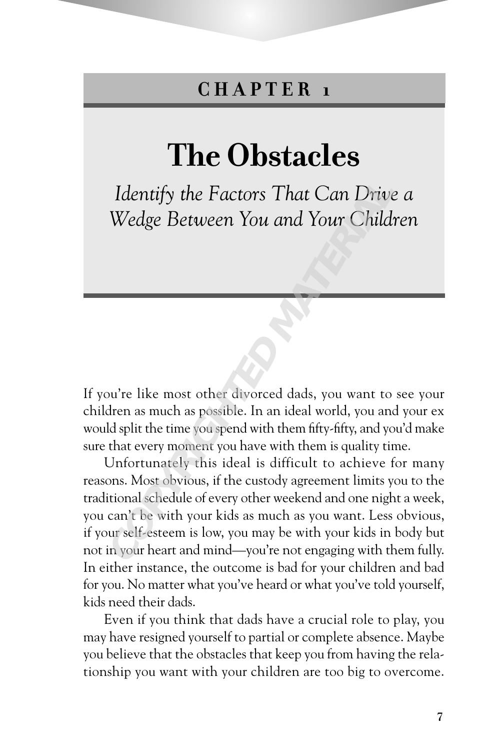# **CHAPTER 1**

# **The Obstacles**

*Identify the Factors That Can Drive a Wedge Between You and Your Children*

If you're like most other divorced dads, you want to see your children as much as possible. In an ideal world, you and your ex would split the time you spend with them fifty-fifty, and you'd make sure that every moment you have with them is quality time.

Unfortunately this ideal is difficult to achieve for many reasons. Most obvious, if the custody agreement limits you to the traditional schedule of every other weekend and one night a week, you can't be with your kids as much as you want. Less obvious, if your self-esteem is low, you may be with your kids in body but not in your heart and mind—you're not engaging with them fully. In either instance, the outcome is bad for your children and bad for you. No matter what you've heard or what you've told yourself, kids need their dads. *Conformally the Factors That Can Drive*<br>*Wedge Between You and Your Child:*<br>*Copyright Wedge Between You and Your Child:*<br>*Copyright* Child: The mexicure of the mass possible. In an ideal world, you and<br>dsplit the time yo

Even if you think that dads have a crucial role to play, you may have resigned yourself to partial or complete absence. Maybe you believe that the obstacles that keep you from having the relationship you want with your children are too big to overcome.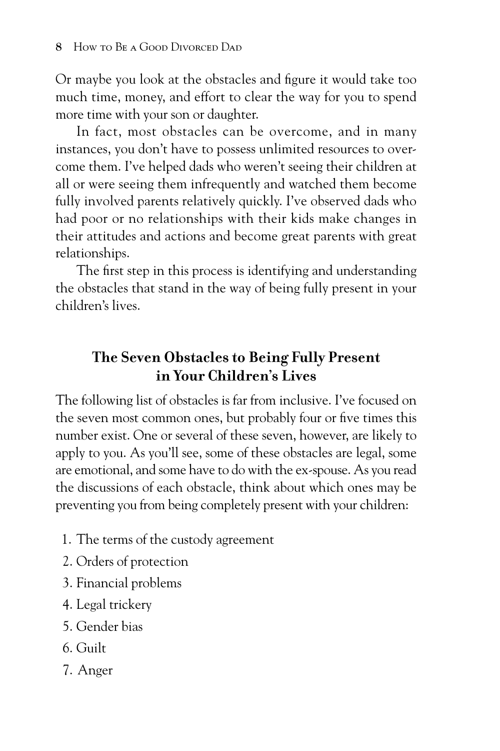Or maybe you look at the obstacles and figure it would take too much time, money, and effort to clear the way for you to spend more time with your son or daughter.

In fact, most obstacles can be overcome, and in many instances, you don't have to possess unlimited resources to overcome them. I've helped dads who weren't seeing their children at all or were seeing them infrequently and watched them become fully involved parents relatively quickly. I've observed dads who had poor or no relationships with their kids make changes in their attitudes and actions and become great parents with great relationships.

The first step in this process is identifying and understanding the obstacles that stand in the way of being fully present in your children's lives.

# **The Seven Obstacles to Being Fully Present in Your Children's Lives**

The following list of obstacles is far from inclusive. I've focused on the seven most common ones, but probably four or five times this number exist. One or several of these seven, however, are likely to apply to you. As you'll see, some of these obstacles are legal, some are emotional, and some have to do with the ex-spouse. As you read the discussions of each obstacle, think about which ones may be preventing you from being completely present with your children:

- 1. The terms of the custody agreement
- 2. Orders of protection
- 3. Financial problems
- 4. Legal trickery
- 5. Gender bias
- 6. Guilt
- 7. Anger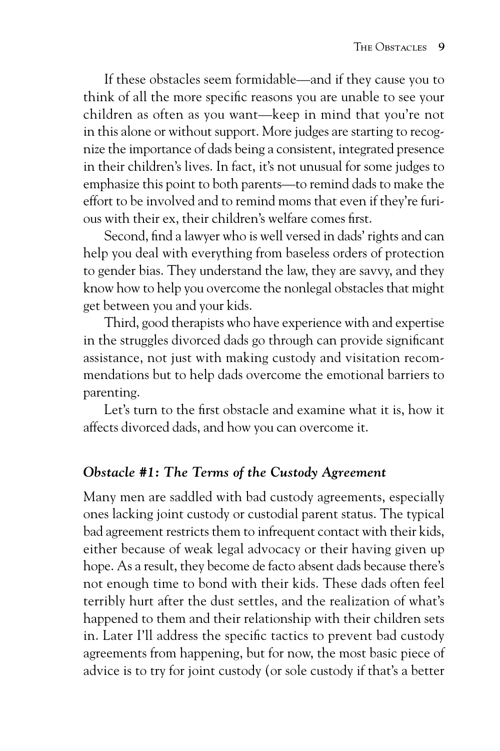If these obstacles seem formidable—and if they cause you to think of all the more specific reasons you are unable to see your children as often as you want—keep in mind that you're not in this alone or without support. More judges are starting to recognize the importance of dads being a consistent, integrated presence in their children's lives. In fact, it's not unusual for some judges to emphasize this point to both parents—to remind dads to make the effort to be involved and to remind moms that even if they're furious with their ex, their children's welfare comes first.

Second, find a lawyer who is well versed in dads' rights and can help you deal with everything from baseless orders of protection to gender bias. They understand the law, they are savvy, and they know how to help you overcome the nonlegal obstacles that might get between you and your kids.

Third, good therapists who have experience with and expertise in the struggles divorced dads go through can provide significant assistance, not just with making custody and visitation recommendations but to help dads overcome the emotional barriers to parenting.

Let's turn to the first obstacle and examine what it is, how it affects divorced dads, and how you can overcome it.

# *Obstacle #1: The Terms of the Custody Agreement*

Many men are saddled with bad custody agreements, especially ones lacking joint custody or custodial parent status. The typical bad agreement restricts them to infrequent contact with their kids, either because of weak legal advocacy or their having given up hope. As a result, they become de facto absent dads because there's not enough time to bond with their kids. These dads often feel terribly hurt after the dust settles, and the realization of what's happened to them and their relationship with their children sets in. Later I'll address the specific tactics to prevent bad custody agreements from happening, but for now, the most basic piece of advice is to try for joint custody (or sole custody if that's a better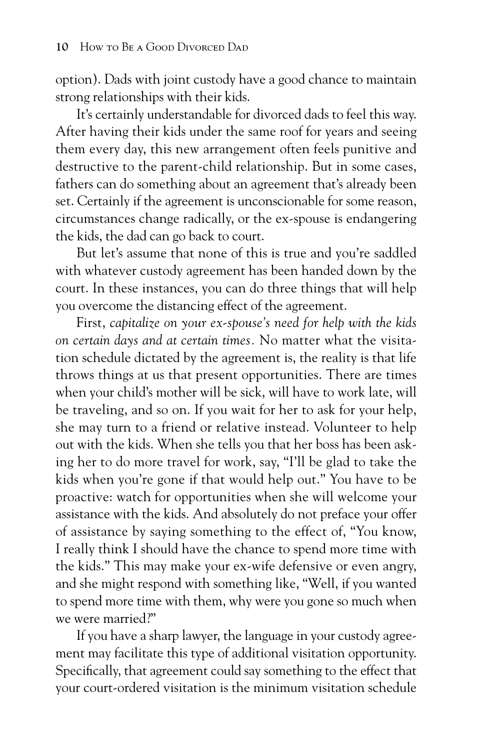option). Dads with joint custody have a good chance to maintain strong relationships with their kids.

It's certainly understandable for divorced dads to feel this way. After having their kids under the same roof for years and seeing them every day, this new arrangement often feels punitive and destructive to the parent-child relationship. But in some cases, fathers can do something about an agreement that's already been set. Certainly if the agreement is unconscionable for some reason, circumstances change radically, or the ex-spouse is endangering the kids, the dad can go back to court.

But let's assume that none of this is true and you're saddled with whatever custody agreement has been handed down by the court. In these instances, you can do three things that will help you overcome the distancing effect of the agreement.

First, *capitalize on your ex-spouse's need for help with the kids on certain days and at certain times.* No matter what the visitation schedule dictated by the agreement is, the reality is that life throws things at us that present opportunities. There are times when your child's mother will be sick, will have to work late, will be traveling, and so on. If you wait for her to ask for your help, she may turn to a friend or relative instead. Volunteer to help out with the kids. When she tells you that her boss has been asking her to do more travel for work, say, "I'll be glad to take the kids when you're gone if that would help out." You have to be proactive: watch for opportunities when she will welcome your assistance with the kids. And absolutely do not preface your offer of assistance by saying something to the effect of, "You know, I really think I should have the chance to spend more time with the kids." This may make your ex-wife defensive or even angry, and she might respond with something like, "Well, if you wanted to spend more time with them, why were you gone so much when we were married?"

If you have a sharp lawyer, the language in your custody agreement may facilitate this type of additional visitation opportunity. Specifically, that agreement could say something to the effect that your court-ordered visitation is the minimum visitation schedule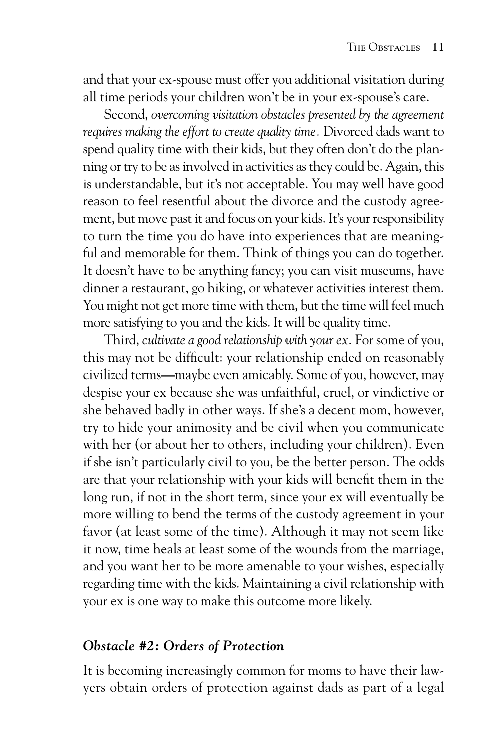and that your ex-spouse must offer you additional visitation during all time periods your children won't be in your ex-spouse's care.

Second, *overcoming visitation obstacles presented by the agreement requires making the effort to create quality time.* Divorced dads want to spend quality time with their kids, but they often don't do the planning or try to be as involved in activities as they could be. Again, this is understandable, but it's not acceptable. You may well have good reason to feel resentful about the divorce and the custody agreement, but move past it and focus on your kids. It's your responsibility to turn the time you do have into experiences that are meaningful and memorable for them. Think of things you can do together. It doesn't have to be anything fancy; you can visit museums, have dinner a restaurant, go hiking, or whatever activities interest them. You might not get more time with them, but the time will feel much more satisfying to you and the kids. It will be quality time.

Third, *cultivate a good relationship with your ex.* For some of you, this may not be difficult: your relationship ended on reasonably civilized terms—maybe even amicably. Some of you, however, may despise your ex because she was unfaithful, cruel, or vindictive or she behaved badly in other ways. If she's a decent mom, however, try to hide your animosity and be civil when you communicate with her (or about her to others, including your children). Even if she isn't particularly civil to you, be the better person. The odds are that your relationship with your kids will benefit them in the long run, if not in the short term, since your ex will eventually be more willing to bend the terms of the custody agreement in your favor (at least some of the time). Although it may not seem like it now, time heals at least some of the wounds from the marriage, and you want her to be more amenable to your wishes, especially regarding time with the kids. Maintaining a civil relationship with your ex is one way to make this outcome more likely.

# *Obstacle #2: Orders of Protection*

It is becoming increasingly common for moms to have their lawyers obtain orders of protection against dads as part of a legal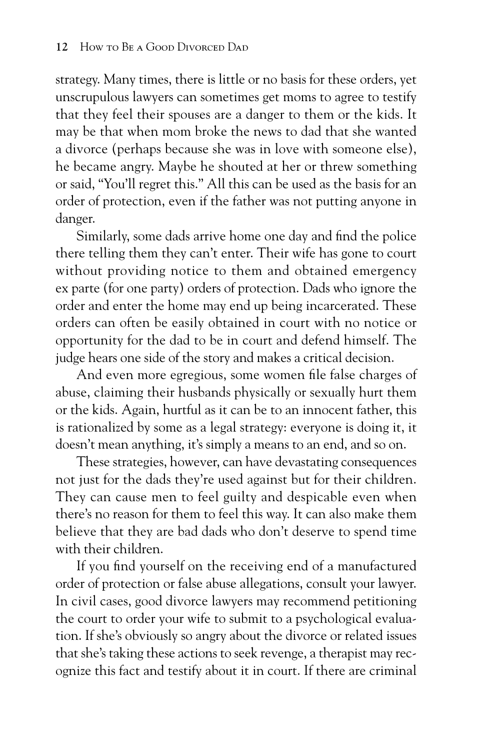strategy. Many times, there is little or no basis for these orders, yet unscrupulous lawyers can sometimes get moms to agree to testify that they feel their spouses are a danger to them or the kids. It may be that when mom broke the news to dad that she wanted a divorce (perhaps because she was in love with someone else), he became angry. Maybe he shouted at her or threw something or said, "You'll regret this." All this can be used as the basis for an order of protection, even if the father was not putting anyone in danger.

Similarly, some dads arrive home one day and find the police there telling them they can't enter. Their wife has gone to court without providing notice to them and obtained emergency ex parte (for one party) orders of protection. Dads who ignore the order and enter the home may end up being incarcerated. These orders can often be easily obtained in court with no notice or opportunity for the dad to be in court and defend himself. The judge hears one side of the story and makes a critical decision.

And even more egregious, some women file false charges of abuse, claiming their husbands physically or sexually hurt them or the kids. Again, hurtful as it can be to an innocent father, this is rationalized by some as a legal strategy: everyone is doing it, it doesn't mean anything, it's simply a means to an end, and so on.

These strategies, however, can have devastating consequences not just for the dads they're used against but for their children. They can cause men to feel guilty and despicable even when there's no reason for them to feel this way. It can also make them believe that they are bad dads who don't deserve to spend time with their children.

If you find yourself on the receiving end of a manufactured order of protection or false abuse allegations, consult your lawyer. In civil cases, good divorce lawyers may recommend petitioning the court to order your wife to submit to a psychological evaluation. If she's obviously so angry about the divorce or related issues that she's taking these actions to seek revenge, a therapist may recognize this fact and testify about it in court. If there are criminal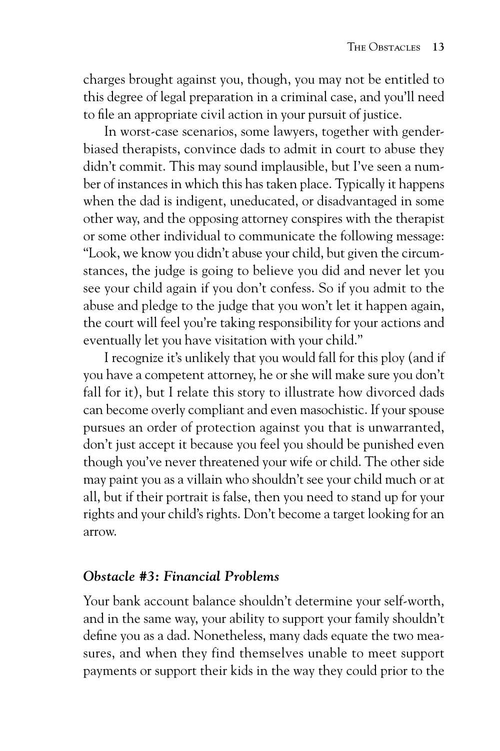charges brought against you, though, you may not be entitled to this degree of legal preparation in a criminal case, and you'll need to file an appropriate civil action in your pursuit of justice.

In worst-case scenarios, some lawyers, together with genderbiased therapists, convince dads to admit in court to abuse they didn't commit. This may sound implausible, but I've seen a number of instances in which this has taken place. Typically it happens when the dad is indigent, uneducated, or disadvantaged in some other way, and the opposing attorney conspires with the therapist or some other individual to communicate the following message: "Look, we know you didn't abuse your child, but given the circumstances, the judge is going to believe you did and never let you see your child again if you don't confess. So if you admit to the abuse and pledge to the judge that you won't let it happen again, the court will feel you're taking responsibility for your actions and eventually let you have visitation with your child."

I recognize it's unlikely that you would fall for this ploy (and if you have a competent attorney, he or she will make sure you don't fall for it), but I relate this story to illustrate how divorced dads can become overly compliant and even masochistic. If your spouse pursues an order of protection against you that is unwarranted, don't just accept it because you feel you should be punished even though you've never threatened your wife or child. The other side may paint you as a villain who shouldn't see your child much or at all, but if their portrait is false, then you need to stand up for your rights and your child's rights. Don't become a target looking for an arrow.

#### *Obstacle #3: Financial Problems*

Your bank account balance shouldn't determine your self-worth, and in the same way, your ability to support your family shouldn't define you as a dad. Nonetheless, many dads equate the two measures, and when they find themselves unable to meet support payments or support their kids in the way they could prior to the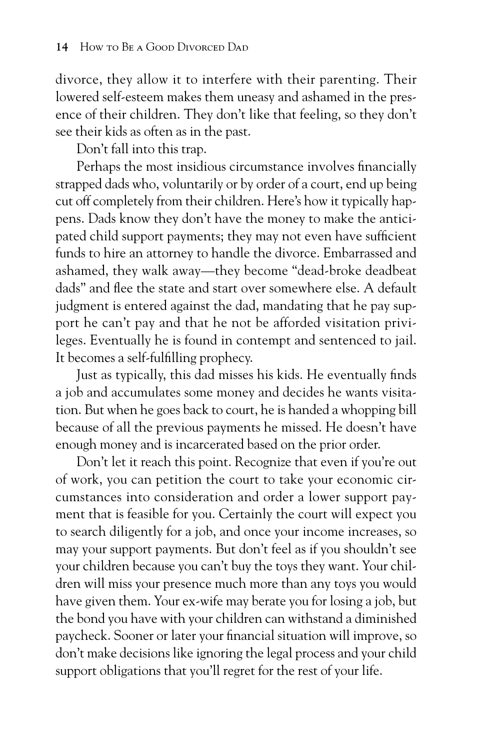divorce, they allow it to interfere with their parenting. Their lowered self-esteem makes them uneasy and ashamed in the presence of their children. They don't like that feeling, so they don't see their kids as often as in the past.

Don't fall into this trap.

Perhaps the most insidious circumstance involves financially strapped dads who, voluntarily or by order of a court, end up being cut off completely from their children. Here's how it typically happens. Dads know they don't have the money to make the anticipated child support payments; they may not even have sufficient funds to hire an attorney to handle the divorce. Embarrassed and ashamed, they walk away—they become "dead-broke deadbeat dads" and flee the state and start over somewhere else. A default judgment is entered against the dad, mandating that he pay support he can't pay and that he not be afforded visitation privileges. Eventually he is found in contempt and sentenced to jail. It becomes a self-fulfilling prophecy.

Just as typically, this dad misses his kids. He eventually finds a job and accumulates some money and decides he wants visitation. But when he goes back to court, he is handed a whopping bill because of all the previous payments he missed. He doesn't have enough money and is incarcerated based on the prior order.

Don't let it reach this point. Recognize that even if you're out of work, you can petition the court to take your economic circumstances into consideration and order a lower support payment that is feasible for you. Certainly the court will expect you to search diligently for a job, and once your income increases, so may your support payments. But don't feel as if you shouldn't see your children because you can't buy the toys they want. Your children will miss your presence much more than any toys you would have given them. Your ex-wife may berate you for losing a job, but the bond you have with your children can withstand a diminished paycheck. Sooner or later your financial situation will improve, so don't make decisions like ignoring the legal process and your child support obligations that you'll regret for the rest of your life.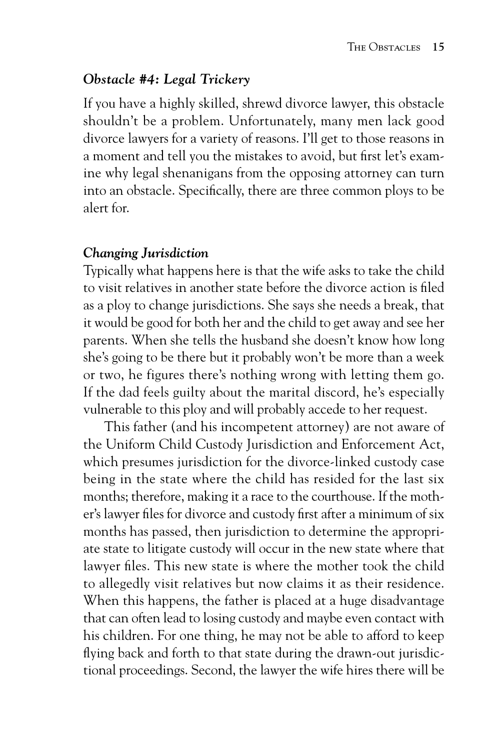# *Obstacle #4: Legal Trickery*

If you have a highly skilled, shrewd divorce lawyer, this obstacle shouldn't be a problem. Unfortunately, many men lack good divorce lawyers for a variety of reasons. I'll get to those reasons in a moment and tell you the mistakes to avoid, but first let's examine why legal shenanigans from the opposing attorney can turn into an obstacle. Specifically, there are three common ploys to be alert for.

#### *Changing Jurisdiction*

Typically what happens here is that the wife asks to take the child to visit relatives in another state before the divorce action is filed as a ploy to change jurisdictions. She says she needs a break, that it would be good for both her and the child to get away and see her parents. When she tells the husband she doesn't know how long she's going to be there but it probably won't be more than a week or two, he figures there's nothing wrong with letting them go. If the dad feels guilty about the marital discord, he's especially vulnerable to this ploy and will probably accede to her request.

This father (and his incompetent attorney) are not aware of the Uniform Child Custody Jurisdiction and Enforcement Act, which presumes jurisdiction for the divorce-linked custody case being in the state where the child has resided for the last six months; therefore, making it a race to the courthouse. If the mother's lawyer files for divorce and custody first after a minimum of six months has passed, then jurisdiction to determine the appropriate state to litigate custody will occur in the new state where that lawyer files. This new state is where the mother took the child to allegedly visit relatives but now claims it as their residence. When this happens, the father is placed at a huge disadvantage that can often lead to losing custody and maybe even contact with his children. For one thing, he may not be able to afford to keep flying back and forth to that state during the drawn-out jurisdictional proceedings. Second, the lawyer the wife hires there will be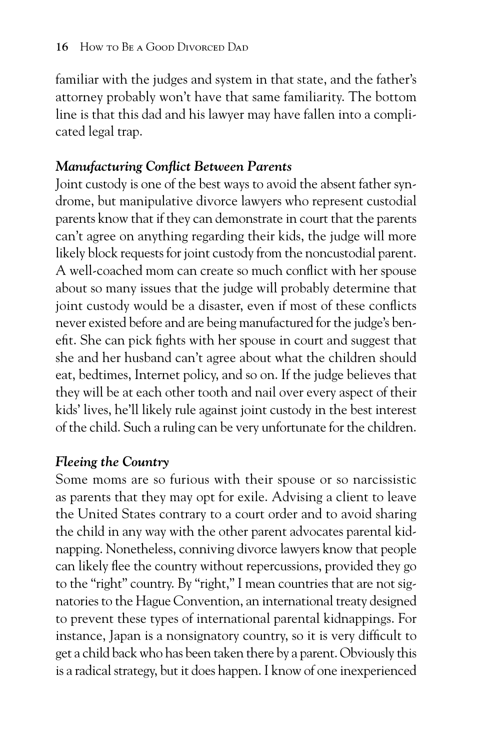familiar with the judges and system in that state, and the father's attorney probably won't have that same familiarity. The bottom line is that this dad and his lawyer may have fallen into a complicated legal trap.

#### *Manufacturing Conflict Between Parents*

Joint custody is one of the best ways to avoid the absent father syndrome, but manipulative divorce lawyers who represent custodial parents know that if they can demonstrate in court that the parents can't agree on anything regarding their kids, the judge will more likely block requests for joint custody from the noncustodial parent. A well-coached mom can create so much conflict with her spouse about so many issues that the judge will probably determine that joint custody would be a disaster, even if most of these conflicts never existed before and are being manufactured for the judge's benefit. She can pick fights with her spouse in court and suggest that she and her husband can't agree about what the children should eat, bedtimes, Internet policy, and so on. If the judge believes that they will be at each other tooth and nail over every aspect of their kids' lives, he'll likely rule against joint custody in the best interest of the child. Such a ruling can be very unfortunate for the children.

#### *Fleeing the Country*

Some moms are so furious with their spouse or so narcissistic as parents that they may opt for exile. Advising a client to leave the United States contrary to a court order and to avoid sharing the child in any way with the other parent advocates parental kidnapping. Nonetheless, conniving divorce lawyers know that people can likely flee the country without repercussions, provided they go to the "right" country. By "right," I mean countries that are not signatories to the Hague Convention, an international treaty designed to prevent these types of international parental kidnappings. For instance, Japan is a nonsignatory country, so it is very difficult to get a child back who has been taken there by a parent. Obviously this is a radical strategy, but it does happen. I know of one inexperienced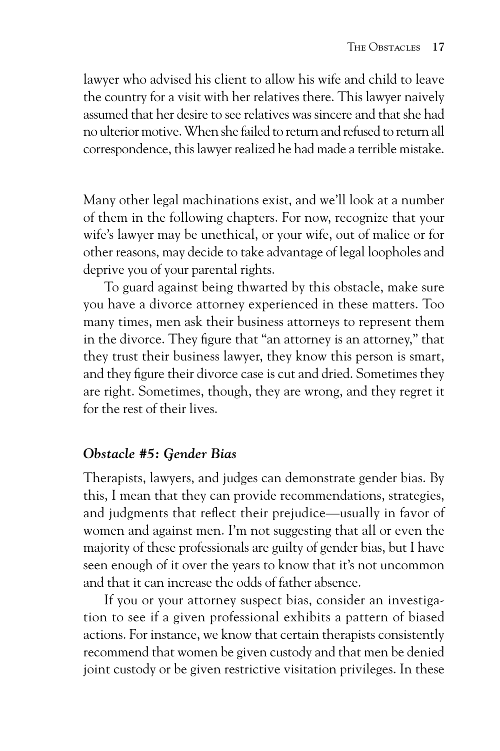lawyer who advised his client to allow his wife and child to leave the country for a visit with her relatives there. This lawyer naively assumed that her desire to see relatives was sincere and that she had no ulterior motive. When she failed to return and refused to return all correspondence, this lawyer realized he had made a terrible mistake.

Many other legal machinations exist, and we'll look at a number of them in the following chapters. For now, recognize that your wife's lawyer may be unethical, or your wife, out of malice or for other reasons, may decide to take advantage of legal loopholes and deprive you of your parental rights.

To guard against being thwarted by this obstacle, make sure you have a divorce attorney experienced in these matters. Too many times, men ask their business attorneys to represent them in the divorce. They figure that "an attorney is an attorney," that they trust their business lawyer, they know this person is smart, and they figure their divorce case is cut and dried. Sometimes they are right. Sometimes, though, they are wrong, and they regret it for the rest of their lives.

# *Obstacle #5: Gender Bias*

Therapists, lawyers, and judges can demonstrate gender bias. By this, I mean that they can provide recommendations, strategies, and judgments that reflect their prejudice—usually in favor of women and against men. I'm not suggesting that all or even the majority of these professionals are guilty of gender bias, but I have seen enough of it over the years to know that it's not uncommon and that it can increase the odds of father absence.

If you or your attorney suspect bias, consider an investigation to see if a given professional exhibits a pattern of biased actions. For instance, we know that certain therapists consistently recommend that women be given custody and that men be denied joint custody or be given restrictive visitation privileges. In these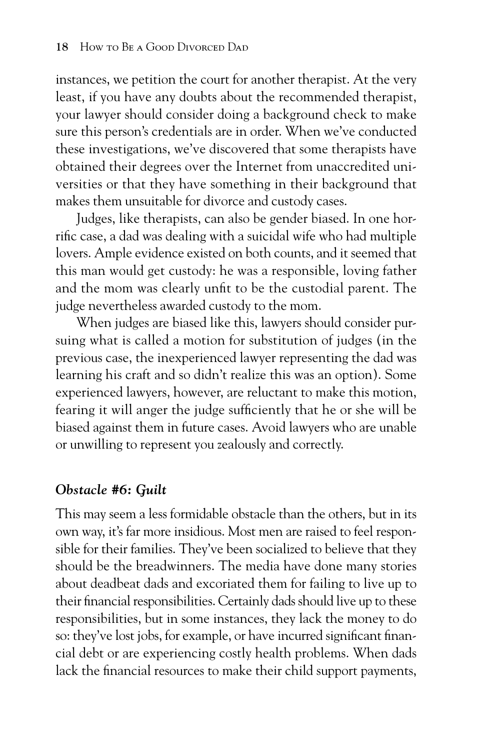instances, we petition the court for another therapist. At the very least, if you have any doubts about the recommended therapist, your lawyer should consider doing a background check to make sure this person's credentials are in order. When we've conducted these investigations, we've discovered that some therapists have obtained their degrees over the Internet from unaccredited universities or that they have something in their background that makes them unsuitable for divorce and custody cases.

Judges, like therapists, can also be gender biased. In one horrific case, a dad was dealing with a suicidal wife who had multiple lovers. Ample evidence existed on both counts, and it seemed that this man would get custody: he was a responsible, loving father and the mom was clearly unfit to be the custodial parent. The judge nevertheless awarded custody to the mom.

When judges are biased like this, lawyers should consider pursuing what is called a motion for substitution of judges (in the previous case, the inexperienced lawyer representing the dad was learning his craft and so didn't realize this was an option). Some experienced lawyers, however, are reluctant to make this motion, fearing it will anger the judge sufficiently that he or she will be biased against them in future cases. Avoid lawyers who are unable or unwilling to represent you zealously and correctly.

#### *Obstacle #6: Guilt*

This may seem a less formidable obstacle than the others, but in its own way, it's far more insidious. Most men are raised to feel responsible for their families. They've been socialized to believe that they should be the breadwinners. The media have done many stories about deadbeat dads and excoriated them for failing to live up to their financial responsibilities. Certainly dads should live up to these responsibilities, but in some instances, they lack the money to do so: they've lost jobs, for example, or have incurred significant financial debt or are experiencing costly health problems. When dads lack the financial resources to make their child support payments,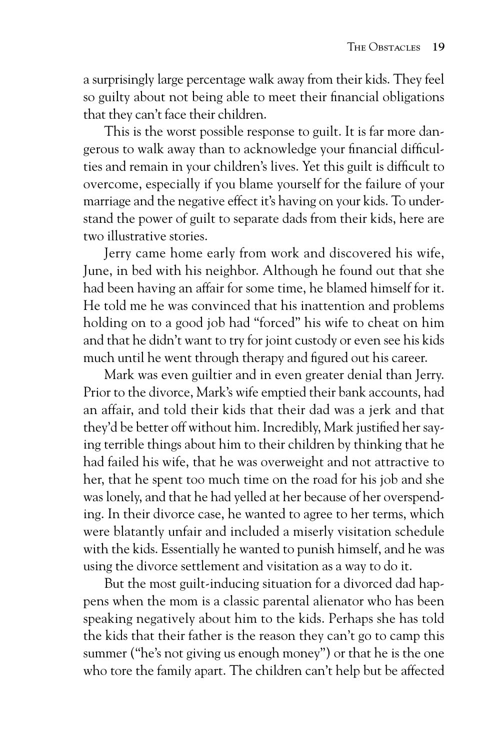a surprisingly large percentage walk away from their kids. They feel so guilty about not being able to meet their financial obligations that they can't face their children.

This is the worst possible response to guilt. It is far more dangerous to walk away than to acknowledge your financial difficulties and remain in your children's lives. Yet this guilt is difficult to overcome, especially if you blame yourself for the failure of your marriage and the negative effect it's having on your kids. To understand the power of guilt to separate dads from their kids, here are two illustrative stories.

Jerry came home early from work and discovered his wife, June, in bed with his neighbor. Although he found out that she had been having an affair for some time, he blamed himself for it. He told me he was convinced that his inattention and problems holding on to a good job had "forced" his wife to cheat on him and that he didn't want to try for joint custody or even see his kids much until he went through therapy and figured out his career.

Mark was even guiltier and in even greater denial than Jerry. Prior to the divorce, Mark's wife emptied their bank accounts, had an affair, and told their kids that their dad was a jerk and that they'd be better off without him. Incredibly, Mark justified her saying terrible things about him to their children by thinking that he had failed his wife, that he was overweight and not attractive to her, that he spent too much time on the road for his job and she was lonely, and that he had yelled at her because of her overspending. In their divorce case, he wanted to agree to her terms, which were blatantly unfair and included a miserly visitation schedule with the kids. Essentially he wanted to punish himself, and he was using the divorce settlement and visitation as a way to do it.

But the most guilt-inducing situation for a divorced dad happens when the mom is a classic parental alienator who has been speaking negatively about him to the kids. Perhaps she has told the kids that their father is the reason they can't go to camp this summer ("he's not giving us enough money") or that he is the one who tore the family apart. The children can't help but be affected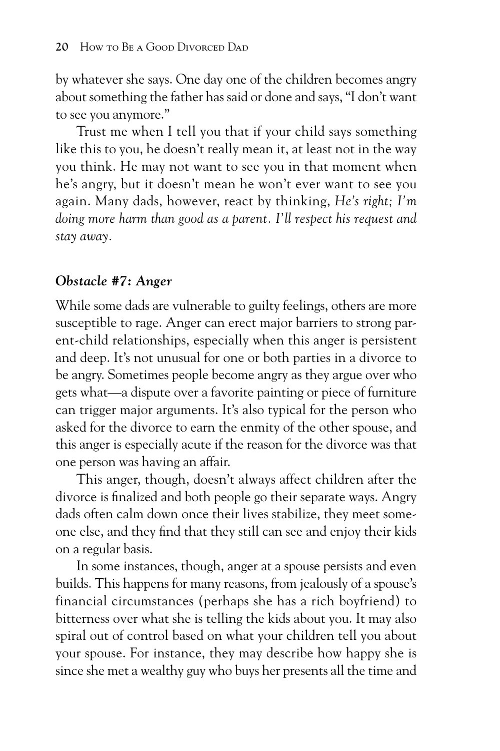by whatever she says. One day one of the children becomes angry about something the father has said or done and says, "I don't want to see you anymore."

Trust me when I tell you that if your child says something like this to you, he doesn't really mean it, at least not in the way you think. He may not want to see you in that moment when he's angry, but it doesn't mean he won't ever want to see you again. Many dads, however, react by thinking, *He's right; I'm doing more harm than good as a parent. I'll respect his request and stay away.*

#### *Obstacle #7: Anger*

While some dads are vulnerable to guilty feelings, others are more susceptible to rage. Anger can erect major barriers to strong parent-child relationships, especially when this anger is persistent and deep. It's not unusual for one or both parties in a divorce to be angry. Sometimes people become angry as they argue over who gets what—a dispute over a favorite painting or piece of furniture can trigger major arguments. It's also typical for the person who asked for the divorce to earn the enmity of the other spouse, and this anger is especially acute if the reason for the divorce was that one person was having an affair.

This anger, though, doesn't always affect children after the divorce is finalized and both people go their separate ways. Angry dads often calm down once their lives stabilize, they meet someone else, and they find that they still can see and enjoy their kids on a regular basis.

In some instances, though, anger at a spouse persists and even builds. This happens for many reasons, from jealously of a spouse's financial circumstances (perhaps she has a rich boyfriend) to bitterness over what she is telling the kids about you. It may also spiral out of control based on what your children tell you about your spouse. For instance, they may describe how happy she is since she met a wealthy guy who buys her presents all the time and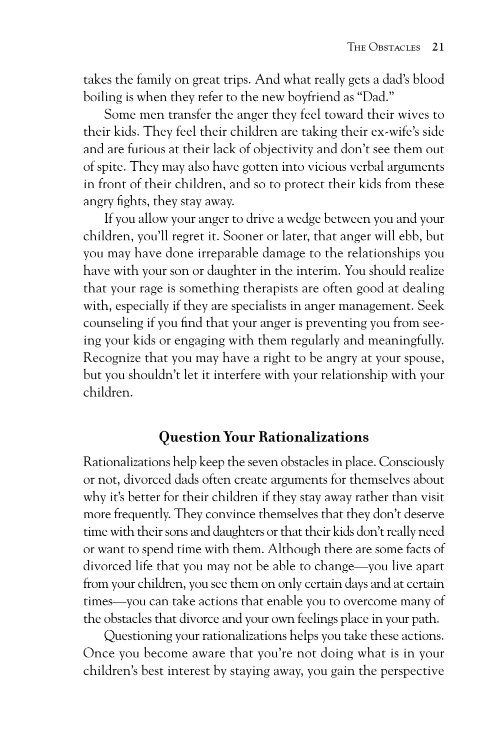takes the family on great trips. And what really gets a dad's blood boiling is when they refer to the new boyfriend as "Dad."

Some men transfer the anger they feel toward their wives to their kids. They feel their children are taking their ex-wife's side and are furious at their lack of objectivity and don't see them out of spite. They may also have gotten into vicious verbal arguments in front of their children, and so to protect their kids from these angry fights, they stay away.

If you allow your anger to drive a wedge between you and your children, you'll regret it. Sooner or later, that anger will ebb, but you may have done irreparable damage to the relationships you have with your son or daughter in the interim. You should realize that your rage is something therapists are often good at dealing with, especially if they are specialists in anger management. Seek counseling if you find that your anger is preventing you from seeing your kids or engaging with them regularly and meaningfully. Recognize that you may have a right to be angry at your spouse, but you shouldn't let it interfere with your relationship with your children.

# **Question Your Rationalizations**

Rationalizations help keep the seven obstacles in place. Consciously or not, divorced dads often create arguments for themselves about why it's better for their children if they stay away rather than visit more frequently. They convince themselves that they don't deserve time with their sons and daughters or that their kids don't really need or want to spend time with them. Although there are some facts of divorced life that you may not be able to change—you live apart from your children, you see them on only certain days and at certain times—you can take actions that enable you to overcome many of the obstacles that divorce and your own feelings place in your path.

Questioning your rationalizations helps you take these actions. Once you become aware that you're not doing what is in your children's best interest by staying away, you gain the perspective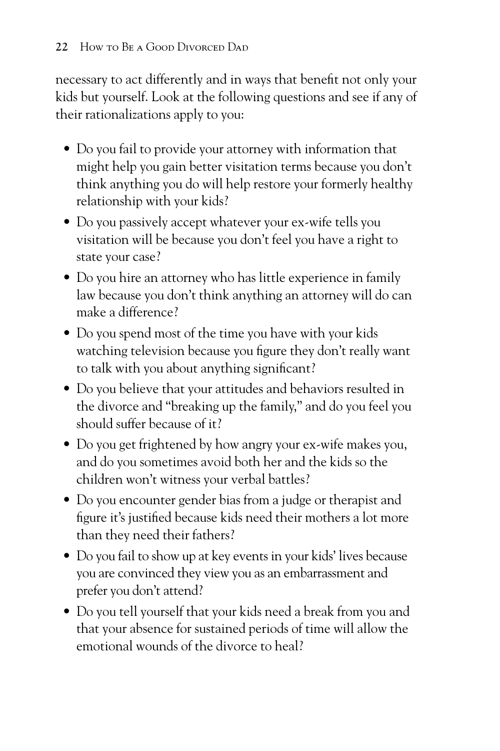necessary to act differently and in ways that benefit not only your kids but yourself. Look at the following questions and see if any of their rationalizations apply to you:

- Do you fail to provide your attorney with information that might help you gain better visitation terms because you don't think anything you do will help restore your formerly healthy relationship with your kids?
- Do you passively accept whatever your ex-wife tells you visitation will be because you don't feel you have a right to state your case?
- Do you hire an attorney who has little experience in family law because you don't think anything an attorney will do can make a difference?
- Do you spend most of the time you have with your kids watching television because you figure they don't really want to talk with you about anything significant?
- Do you believe that your attitudes and behaviors resulted in the divorce and "breaking up the family," and do you feel you should suffer because of it?
- Do you get frightened by how angry your ex-wife makes you, and do you sometimes avoid both her and the kids so the children won't witness your verbal battles?
- Do you encounter gender bias from a judge or therapist and figure it's justified because kids need their mothers a lot more than they need their fathers?
- Do you fail to show up at key events in your kids' lives because you are convinced they view you as an embarrassment and prefer you don't attend?
- Do you tell yourself that your kids need a break from you and that your absence for sustained periods of time will allow the emotional wounds of the divorce to heal?